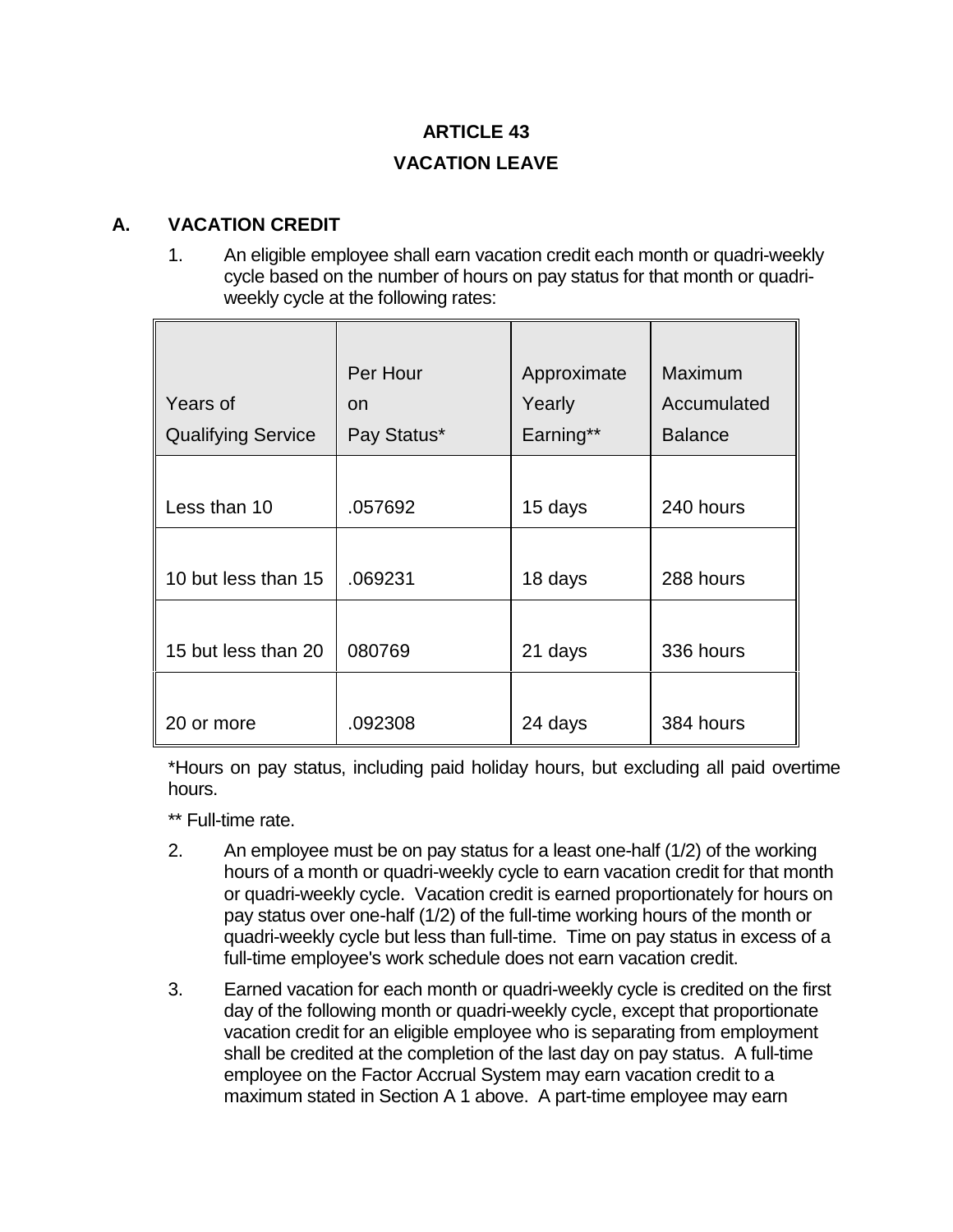# **ARTICLE 43 VACATION LEAVE**

#### **A. VACATION CREDIT**

1. An eligible employee shall earn vacation credit each month or quadri-weekly cycle based on the number of hours on pay status for that month or quadriweekly cycle at the following rates:

| Years of                  | Per Hour<br>on | Approximate<br>Yearly | Maximum<br>Accumulated |
|---------------------------|----------------|-----------------------|------------------------|
| <b>Qualifying Service</b> | Pay Status*    | Earning**             | <b>Balance</b>         |
| Less than 10              | .057692        | 15 days               | 240 hours              |
|                           |                |                       |                        |
| 10 but less than 15       | .069231        | 18 days               | 288 hours              |
| 15 but less than 20       | 080769         | 21 days               | 336 hours              |
| 20 or more                | .092308        | 24 days               | 384 hours              |

\*Hours on pay status, including paid holiday hours, but excluding all paid overtime hours.

\*\* Full-time rate.

- 2. An employee must be on pay status for a least one-half (1/2) of the working hours of a month or quadri-weekly cycle to earn vacation credit for that month or quadri-weekly cycle. Vacation credit is earned proportionately for hours on pay status over one-half (1/2) of the full-time working hours of the month or quadri-weekly cycle but less than full-time. Time on pay status in excess of a full-time employee's work schedule does not earn vacation credit.
- 3. Earned vacation for each month or quadri-weekly cycle is credited on the first day of the following month or quadri-weekly cycle, except that proportionate vacation credit for an eligible employee who is separating from employment shall be credited at the completion of the last day on pay status. A full-time employee on the Factor Accrual System may earn vacation credit to a maximum stated in Section A 1 above. A part-time employee may earn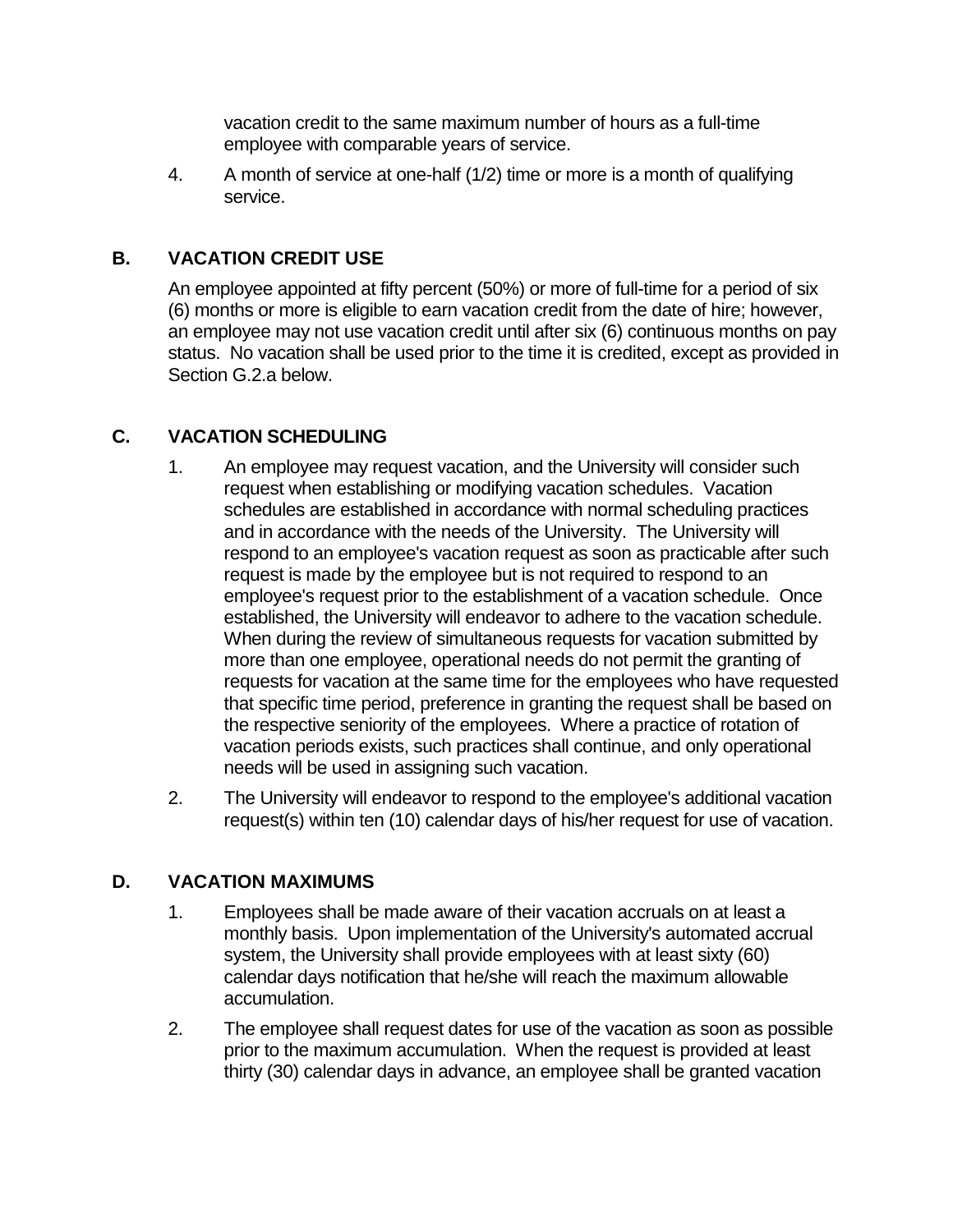vacation credit to the same maximum number of hours as a full-time employee with comparable years of service.

4. A month of service at one-half (1/2) time or more is a month of qualifying service.

### **B. VACATION CREDIT USE**

An employee appointed at fifty percent (50%) or more of full-time for a period of six (6) months or more is eligible to earn vacation credit from the date of hire; however, an employee may not use vacation credit until after six (6) continuous months on pay status. No vacation shall be used prior to the time it is credited, except as provided in Section G.2.a below.

#### **C. VACATION SCHEDULING**

- 1. An employee may request vacation, and the University will consider such request when establishing or modifying vacation schedules. Vacation schedules are established in accordance with normal scheduling practices and in accordance with the needs of the University. The University will respond to an employee's vacation request as soon as practicable after such request is made by the employee but is not required to respond to an employee's request prior to the establishment of a vacation schedule. Once established, the University will endeavor to adhere to the vacation schedule. When during the review of simultaneous requests for vacation submitted by more than one employee, operational needs do not permit the granting of requests for vacation at the same time for the employees who have requested that specific time period, preference in granting the request shall be based on the respective seniority of the employees. Where a practice of rotation of vacation periods exists, such practices shall continue, and only operational needs will be used in assigning such vacation.
- 2. The University will endeavor to respond to the employee's additional vacation request(s) within ten (10) calendar days of his/her request for use of vacation.

#### **D. VACATION MAXIMUMS**

- 1. Employees shall be made aware of their vacation accruals on at least a monthly basis. Upon implementation of the University's automated accrual system, the University shall provide employees with at least sixty (60) calendar days notification that he/she will reach the maximum allowable accumulation.
- 2. The employee shall request dates for use of the vacation as soon as possible prior to the maximum accumulation. When the request is provided at least thirty (30) calendar days in advance, an employee shall be granted vacation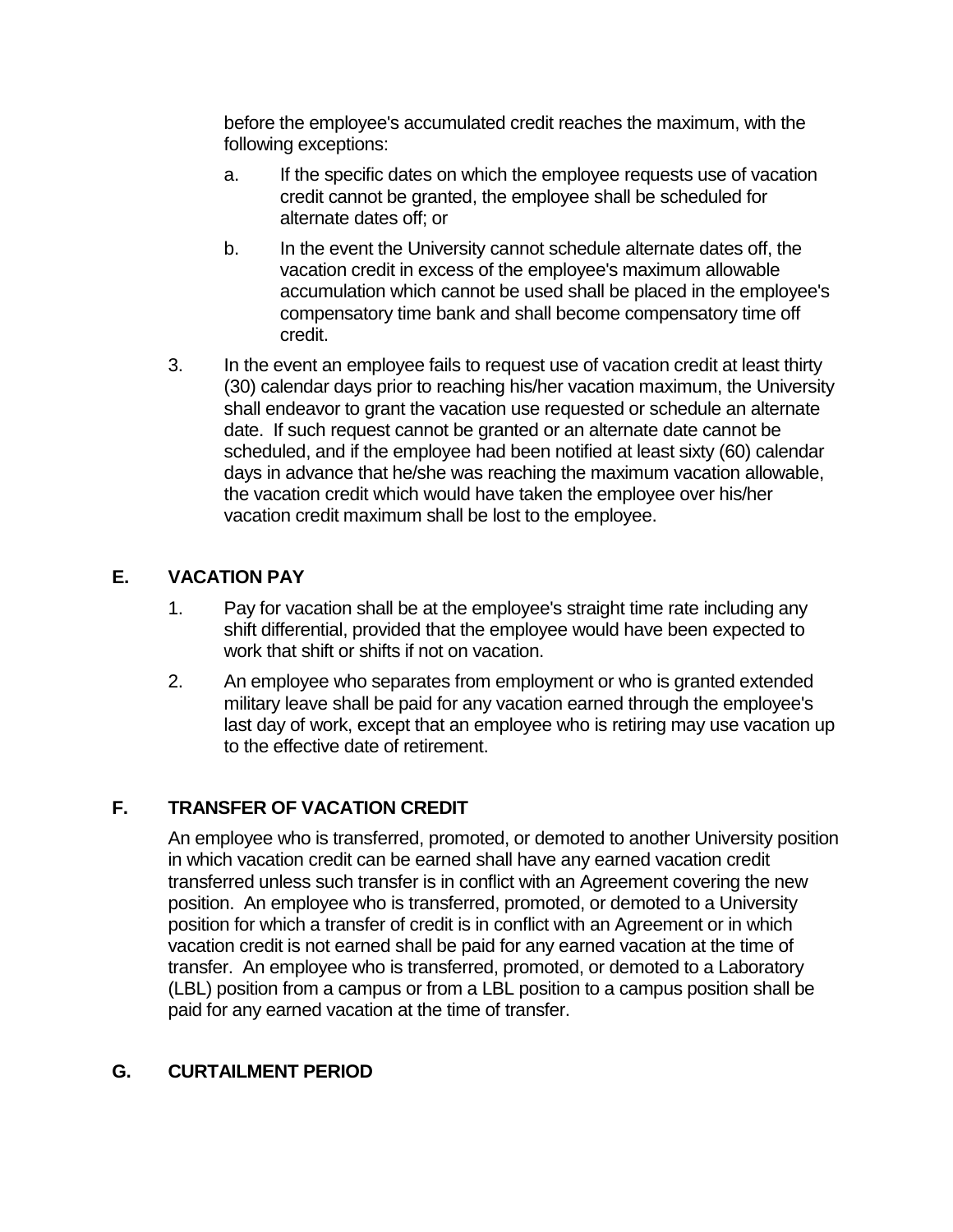before the employee's accumulated credit reaches the maximum, with the following exceptions:

- a. If the specific dates on which the employee requests use of vacation credit cannot be granted, the employee shall be scheduled for alternate dates off; or
- b. In the event the University cannot schedule alternate dates off, the vacation credit in excess of the employee's maximum allowable accumulation which cannot be used shall be placed in the employee's compensatory time bank and shall become compensatory time off credit.
- 3. In the event an employee fails to request use of vacation credit at least thirty (30) calendar days prior to reaching his/her vacation maximum, the University shall endeavor to grant the vacation use requested or schedule an alternate date. If such request cannot be granted or an alternate date cannot be scheduled, and if the employee had been notified at least sixty (60) calendar days in advance that he/she was reaching the maximum vacation allowable, the vacation credit which would have taken the employee over his/her vacation credit maximum shall be lost to the employee.

## **E. VACATION PAY**

- 1. Pay for vacation shall be at the employee's straight time rate including any shift differential, provided that the employee would have been expected to work that shift or shifts if not on vacation.
- 2. An employee who separates from employment or who is granted extended military leave shall be paid for any vacation earned through the employee's last day of work, except that an employee who is retiring may use vacation up to the effective date of retirement.

# **F. TRANSFER OF VACATION CREDIT**

An employee who is transferred, promoted, or demoted to another University position in which vacation credit can be earned shall have any earned vacation credit transferred unless such transfer is in conflict with an Agreement covering the new position. An employee who is transferred, promoted, or demoted to a University position for which a transfer of credit is in conflict with an Agreement or in which vacation credit is not earned shall be paid for any earned vacation at the time of transfer. An employee who is transferred, promoted, or demoted to a Laboratory (LBL) position from a campus or from a LBL position to a campus position shall be paid for any earned vacation at the time of transfer.

#### **G. CURTAILMENT PERIOD**